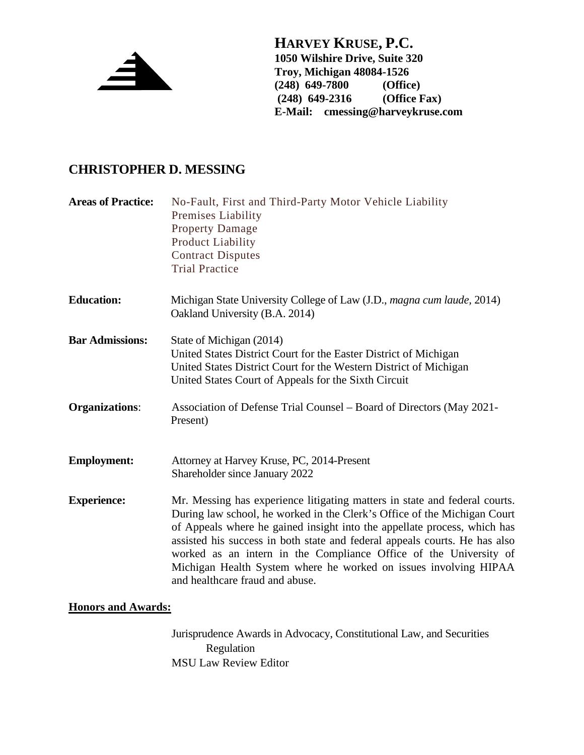

**HARVEY KRUSE, P.C. 1050 Wilshire Drive, Suite 320 Troy, Michigan 48084-1526 (248) 649-7800 (Office) (248) 649-2316 E-Mail: cmessing@harveykruse.com**

## **CHRISTOPHER D. MESSING**

| <b>Areas of Practice:</b> | No-Fault, First and Third-Party Motor Vehicle Liability<br><b>Premises Liability</b><br><b>Property Damage</b><br><b>Product Liability</b><br><b>Contract Disputes</b><br><b>Trial Practice</b>                                                                                                                                                                                                                                                                                              |
|---------------------------|----------------------------------------------------------------------------------------------------------------------------------------------------------------------------------------------------------------------------------------------------------------------------------------------------------------------------------------------------------------------------------------------------------------------------------------------------------------------------------------------|
| <b>Education:</b>         | Michigan State University College of Law (J.D., magna cum laude, 2014)<br>Oakland University (B.A. 2014)                                                                                                                                                                                                                                                                                                                                                                                     |
| <b>Bar Admissions:</b>    | State of Michigan (2014)<br>United States District Court for the Easter District of Michigan<br>United States District Court for the Western District of Michigan<br>United States Court of Appeals for the Sixth Circuit                                                                                                                                                                                                                                                                    |
| <b>Organizations:</b>     | Association of Defense Trial Counsel – Board of Directors (May 2021-<br>Present)                                                                                                                                                                                                                                                                                                                                                                                                             |
| <b>Employment:</b>        | Attorney at Harvey Kruse, PC, 2014-Present<br>Shareholder since January 2022                                                                                                                                                                                                                                                                                                                                                                                                                 |
| <b>Experience:</b>        | Mr. Messing has experience litigating matters in state and federal courts.<br>During law school, he worked in the Clerk's Office of the Michigan Court<br>of Appeals where he gained insight into the appellate process, which has<br>assisted his success in both state and federal appeals courts. He has also<br>worked as an intern in the Compliance Office of the University of<br>Michigan Health System where he worked on issues involving HIPAA<br>and healthcare fraud and abuse. |

## **Honors and Awards:**

Jurisprudence Awards in Advocacy, Constitutional Law, and Securities Regulation MSU Law Review Editor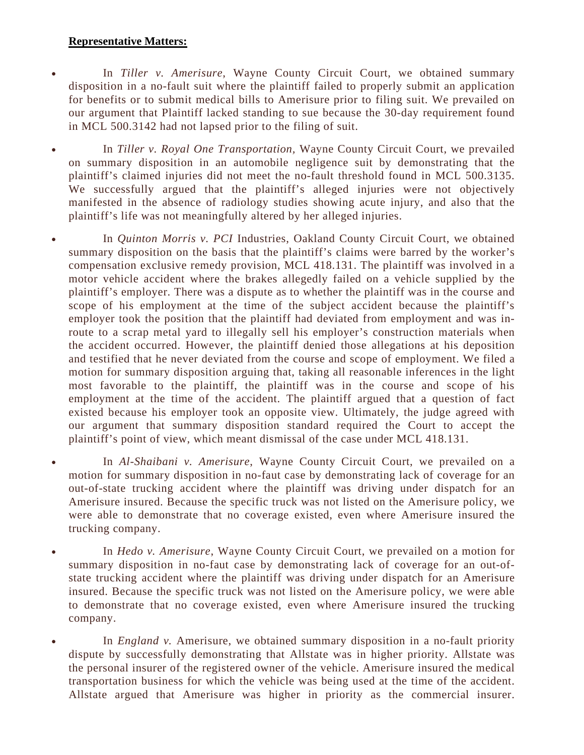## **Representative Matters:**

- In *Tiller v. Amerisure*, Wayne County Circuit Court, we obtained summary disposition in a no-fault suit where the plaintiff failed to properly submit an application for benefits or to submit medical bills to Amerisure prior to filing suit. We prevailed on our argument that Plaintiff lacked standing to sue because the 30-day requirement found in MCL 500.3142 had not lapsed prior to the filing of suit.
- In *Tiller v. Royal One Transportation,* Wayne County Circuit Court, we prevailed on summary disposition in an automobile negligence suit by demonstrating that the plaintiff's claimed injuries did not meet the no-fault threshold found in MCL 500.3135. We successfully argued that the plaintiff's alleged injuries were not objectively manifested in the absence of radiology studies showing acute injury, and also that the plaintiff's life was not meaningfully altered by her alleged injuries.
- In *Quinton Morris v. PCI* Industries, Oakland County Circuit Court, we obtained summary disposition on the basis that the plaintiff's claims were barred by the worker's compensation exclusive remedy provision, MCL 418.131. The plaintiff was involved in a motor vehicle accident where the brakes allegedly failed on a vehicle supplied by the plaintiff's employer. There was a dispute as to whether the plaintiff was in the course and scope of his employment at the time of the subject accident because the plaintiff's employer took the position that the plaintiff had deviated from employment and was inroute to a scrap metal yard to illegally sell his employer's construction materials when the accident occurred. However, the plaintiff denied those allegations at his deposition and testified that he never deviated from the course and scope of employment. We filed a motion for summary disposition arguing that, taking all reasonable inferences in the light most favorable to the plaintiff, the plaintiff was in the course and scope of his employment at the time of the accident. The plaintiff argued that a question of fact existed because his employer took an opposite view. Ultimately, the judge agreed with our argument that summary disposition standard required the Court to accept the plaintiff's point of view, which meant dismissal of the case under MCL 418.131.
- In *Al-Shaibani v. Amerisure*, Wayne County Circuit Court, we prevailed on a motion for summary disposition in no-faut case by demonstrating lack of coverage for an out-of-state trucking accident where the plaintiff was driving under dispatch for an Amerisure insured. Because the specific truck was not listed on the Amerisure policy, we were able to demonstrate that no coverage existed, even where Amerisure insured the trucking company.
- In *Hedo v. Amerisure*, Wayne County Circuit Court, we prevailed on a motion for summary disposition in no-faut case by demonstrating lack of coverage for an out-ofstate trucking accident where the plaintiff was driving under dispatch for an Amerisure insured. Because the specific truck was not listed on the Amerisure policy, we were able to demonstrate that no coverage existed, even where Amerisure insured the trucking company.
- In *England v.* Amerisure, we obtained summary disposition in a no-fault priority dispute by successfully demonstrating that Allstate was in higher priority. Allstate was the personal insurer of the registered owner of the vehicle. Amerisure insured the medical transportation business for which the vehicle was being used at the time of the accident. Allstate argued that Amerisure was higher in priority as the commercial insurer.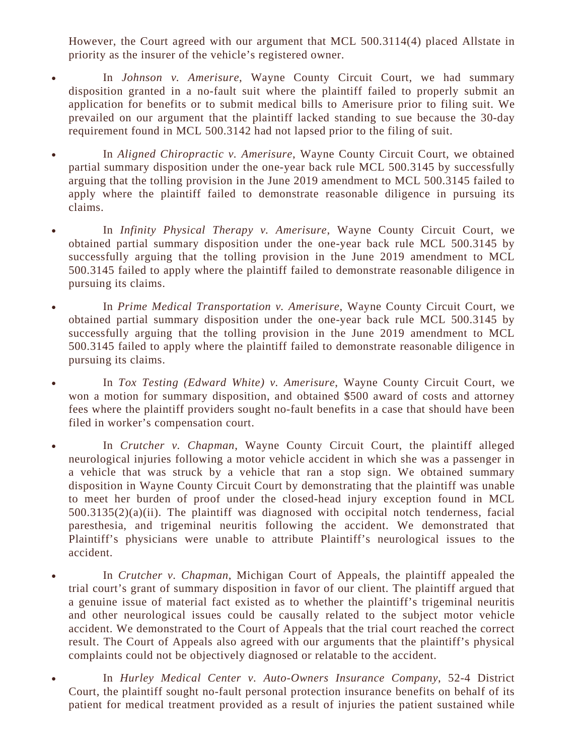However, the Court agreed with our argument that MCL 500.3114(4) placed Allstate in priority as the insurer of the vehicle's registered owner.

- In *Johnson v. Amerisure*, Wayne County Circuit Court, we had summary disposition granted in a no-fault suit where the plaintiff failed to properly submit an application for benefits or to submit medical bills to Amerisure prior to filing suit. We prevailed on our argument that the plaintiff lacked standing to sue because the 30-day requirement found in MCL 500.3142 had not lapsed prior to the filing of suit.
- In *Aligned Chiropractic v. Amerisure*, Wayne County Circuit Court, we obtained partial summary disposition under the one-year back rule MCL 500.3145 by successfully arguing that the tolling provision in the June 2019 amendment to MCL 500.3145 failed to apply where the plaintiff failed to demonstrate reasonable diligence in pursuing its claims.
- In *Infinity Physical Therapy v. Amerisure*, Wayne County Circuit Court, we obtained partial summary disposition under the one-year back rule MCL 500.3145 by successfully arguing that the tolling provision in the June 2019 amendment to MCL 500.3145 failed to apply where the plaintiff failed to demonstrate reasonable diligence in pursuing its claims.
- In *Prime Medical Transportation v. Amerisure*, Wayne County Circuit Court, we obtained partial summary disposition under the one-year back rule MCL 500.3145 by successfully arguing that the tolling provision in the June 2019 amendment to MCL 500.3145 failed to apply where the plaintiff failed to demonstrate reasonable diligence in pursuing its claims.
- In *Tox Testing (Edward White) v. Amerisure*, Wayne County Circuit Court, we won a motion for summary disposition, and obtained \$500 award of costs and attorney fees where the plaintiff providers sought no-fault benefits in a case that should have been filed in worker's compensation court.
- In *Crutcher v. Chapman*, Wayne County Circuit Court, the plaintiff alleged neurological injuries following a motor vehicle accident in which she was a passenger in a vehicle that was struck by a vehicle that ran a stop sign. We obtained summary disposition in Wayne County Circuit Court by demonstrating that the plaintiff was unable to meet her burden of proof under the closed-head injury exception found in MCL  $500.3135(2)(a)(ii)$ . The plaintiff was diagnosed with occipital notch tenderness, facial paresthesia, and trigeminal neuritis following the accident. We demonstrated that Plaintiff's physicians were unable to attribute Plaintiff's neurological issues to the accident.
- In *Crutcher v. Chapman*, Michigan Court of Appeals, the plaintiff appealed the trial court's grant of summary disposition in favor of our client. The plaintiff argued that a genuine issue of material fact existed as to whether the plaintiff's trigeminal neuritis and other neurological issues could be causally related to the subject motor vehicle accident. We demonstrated to the Court of Appeals that the trial court reached the correct result. The Court of Appeals also agreed with our arguments that the plaintiff's physical complaints could not be objectively diagnosed or relatable to the accident.
- In *Hurley Medical Center v. Auto-Owners Insurance Company*, 52-4 District Court, the plaintiff sought no-fault personal protection insurance benefits on behalf of its patient for medical treatment provided as a result of injuries the patient sustained while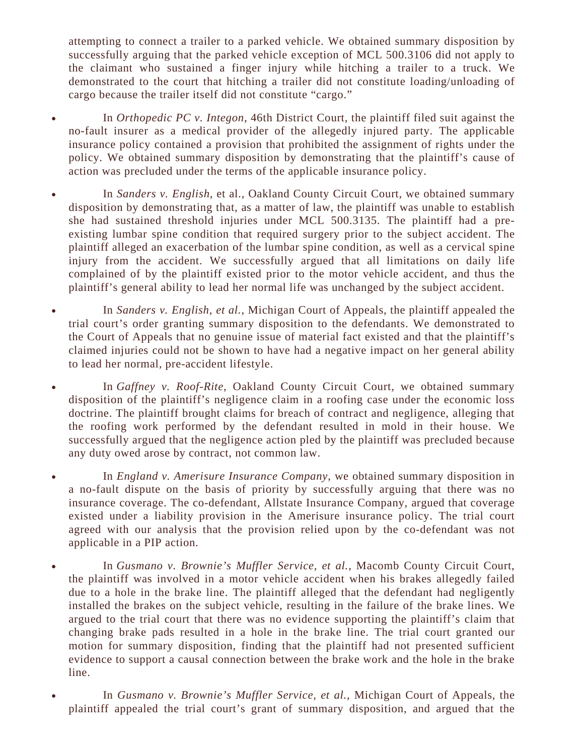attempting to connect a trailer to a parked vehicle. We obtained summary disposition by successfully arguing that the parked vehicle exception of MCL 500.3106 did not apply to the claimant who sustained a finger injury while hitching a trailer to a truck. We demonstrated to the court that hitching a trailer did not constitute loading/unloading of cargo because the trailer itself did not constitute "cargo."

- In *Orthopedic PC v. Integon*, 46th District Court, the plaintiff filed suit against the no-fault insurer as a medical provider of the allegedly injured party. The applicable insurance policy contained a provision that prohibited the assignment of rights under the policy. We obtained summary disposition by demonstrating that the plaintiff's cause of action was precluded under the terms of the applicable insurance policy.
- In *Sanders v. English*, et al., Oakland County Circuit Court, we obtained summary disposition by demonstrating that, as a matter of law, the plaintiff was unable to establish she had sustained threshold injuries under MCL 500.3135. The plaintiff had a preexisting lumbar spine condition that required surgery prior to the subject accident. The plaintiff alleged an exacerbation of the lumbar spine condition, as well as a cervical spine injury from the accident. We successfully argued that all limitations on daily life complained of by the plaintiff existed prior to the motor vehicle accident, and thus the plaintiff's general ability to lead her normal life was unchanged by the subject accident.
- In *Sanders v. English, et al.*, Michigan Court of Appeals, the plaintiff appealed the trial court's order granting summary disposition to the defendants. We demonstrated to the Court of Appeals that no genuine issue of material fact existed and that the plaintiff's claimed injuries could not be shown to have had a negative impact on her general ability to lead her normal, pre-accident lifestyle.
- In *Gaffney v. Roof-Rite*, Oakland County Circuit Court, we obtained summary disposition of the plaintiff's negligence claim in a roofing case under the economic loss doctrine. The plaintiff brought claims for breach of contract and negligence, alleging that the roofing work performed by the defendant resulted in mold in their house. We successfully argued that the negligence action pled by the plaintiff was precluded because any duty owed arose by contract, not common law.
- In *England v. Amerisure Insurance Company*, we obtained summary disposition in a no-fault dispute on the basis of priority by successfully arguing that there was no insurance coverage. The co-defendant, Allstate Insurance Company, argued that coverage existed under a liability provision in the Amerisure insurance policy. The trial court agreed with our analysis that the provision relied upon by the co-defendant was not applicable in a PIP action.
- In *Gusmano v. Brownie's Muffler Service, et al.*, Macomb County Circuit Court, the plaintiff was involved in a motor vehicle accident when his brakes allegedly failed due to a hole in the brake line. The plaintiff alleged that the defendant had negligently installed the brakes on the subject vehicle, resulting in the failure of the brake lines. We argued to the trial court that there was no evidence supporting the plaintiff's claim that changing brake pads resulted in a hole in the brake line. The trial court granted our motion for summary disposition, finding that the plaintiff had not presented sufficient evidence to support a causal connection between the brake work and the hole in the brake line.
- In *Gusmano v. Brownie's Muffler Service, et al.*, Michigan Court of Appeals, the plaintiff appealed the trial court's grant of summary disposition, and argued that the